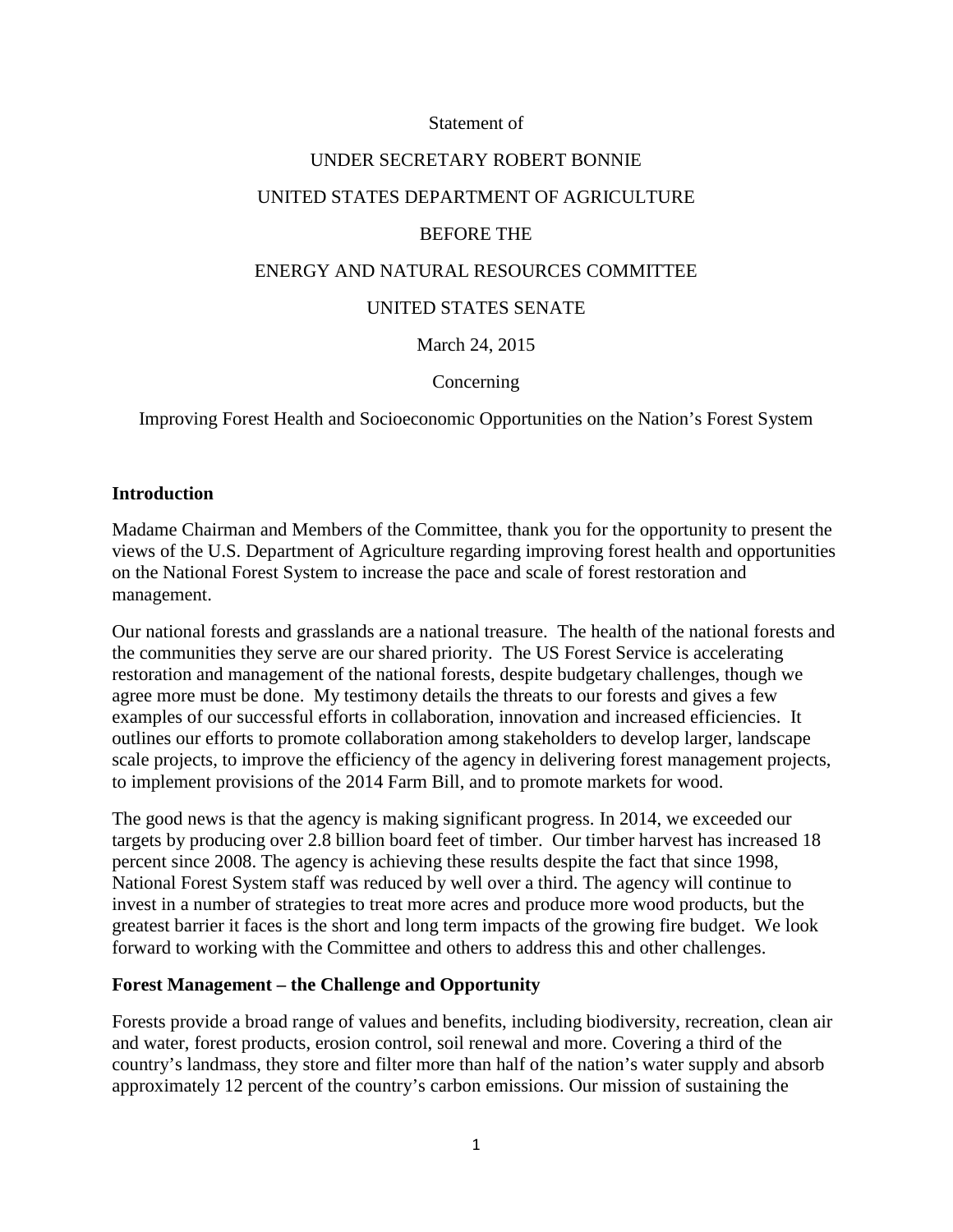#### Statement of

### UNDER SECRETARY ROBERT BONNIE

## UNITED STATES DEPARTMENT OF AGRICULTURE

## BEFORE THE

## ENERGY AND NATURAL RESOURCES COMMITTEE

## UNITED STATES SENATE

## March 24, 2015

### Concerning

## Improving Forest Health and Socioeconomic Opportunities on the Nation's Forest System

### **Introduction**

Madame Chairman and Members of the Committee, thank you for the opportunity to present the views of the U.S. Department of Agriculture regarding improving forest health and opportunities on the National Forest System to increase the pace and scale of forest restoration and management.

Our national forests and grasslands are a national treasure. The health of the national forests and the communities they serve are our shared priority. The US Forest Service is accelerating restoration and management of the national forests, despite budgetary challenges, though we agree more must be done. My testimony details the threats to our forests and gives a few examples of our successful efforts in collaboration, innovation and increased efficiencies. It outlines our efforts to promote collaboration among stakeholders to develop larger, landscape scale projects, to improve the efficiency of the agency in delivering forest management projects, to implement provisions of the 2014 Farm Bill, and to promote markets for wood.

The good news is that the agency is making significant progress. In 2014, we exceeded our targets by producing over 2.8 billion board feet of timber. Our timber harvest has increased 18 percent since 2008. The agency is achieving these results despite the fact that since 1998, National Forest System staff was reduced by well over a third. The agency will continue to invest in a number of strategies to treat more acres and produce more wood products, but the greatest barrier it faces is the short and long term impacts of the growing fire budget. We look forward to working with the Committee and others to address this and other challenges.

### **Forest Management – the Challenge and Opportunity**

Forests provide a broad range of values and benefits, including biodiversity, recreation, clean air and water, forest products, erosion control, soil renewal and more. Covering a third of the country's landmass, they store and filter more than half of the nation's water supply and absorb approximately 12 percent of the country's carbon emissions. Our mission of sustaining the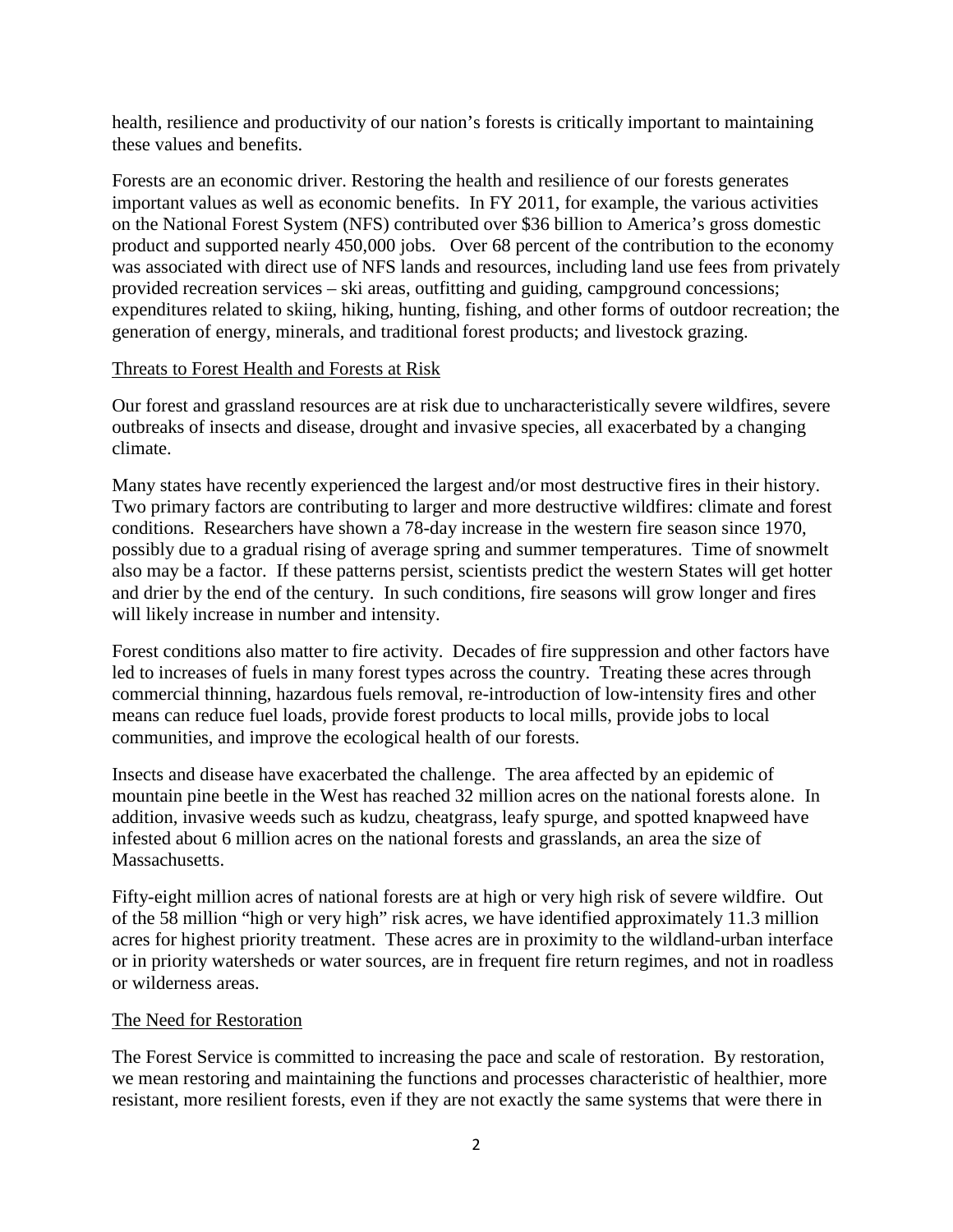health, resilience and productivity of our nation's forests is critically important to maintaining these values and benefits.

Forests are an economic driver. Restoring the health and resilience of our forests generates important values as well as economic benefits. In FY 2011, for example, the various activities on the National Forest System (NFS) contributed over \$36 billion to America's gross domestic product and supported nearly 450,000 jobs. Over 68 percent of the contribution to the economy was associated with direct use of NFS lands and resources, including land use fees from privately provided recreation services – ski areas, outfitting and guiding, campground concessions; expenditures related to skiing, hiking, hunting, fishing, and other forms of outdoor recreation; the generation of energy, minerals, and traditional forest products; and livestock grazing.

## Threats to Forest Health and Forests at Risk

Our forest and grassland resources are at risk due to uncharacteristically severe wildfires, severe outbreaks of insects and disease, drought and invasive species, all exacerbated by a changing climate.

Many states have recently experienced the largest and/or most destructive fires in their history. Two primary factors are contributing to larger and more destructive wildfires: climate and forest conditions. Researchers have shown a 78-day increase in the western fire season since 1970, possibly due to a gradual rising of average spring and summer temperatures. Time of snowmelt also may be a factor. If these patterns persist, scientists predict the western States will get hotter and drier by the end of the century. In such conditions, fire seasons will grow longer and fires will likely increase in number and intensity.

Forest conditions also matter to fire activity. Decades of fire suppression and other factors have led to increases of fuels in many forest types across the country. Treating these acres through commercial thinning, hazardous fuels removal, re-introduction of low-intensity fires and other means can reduce fuel loads, provide forest products to local mills, provide jobs to local communities, and improve the ecological health of our forests.

Insects and disease have exacerbated the challenge. The area affected by an epidemic of mountain pine beetle in the West has reached 32 million acres on the national forests alone. In addition, invasive weeds such as kudzu, cheatgrass, leafy spurge, and spotted knapweed have infested about 6 million acres on the national forests and grasslands, an area the size of Massachusetts.

Fifty-eight million acres of national forests are at high or very high risk of severe wildfire. Out of the 58 million "high or very high" risk acres, we have identified approximately 11.3 million acres for highest priority treatment. These acres are in proximity to the wildland-urban interface or in priority watersheds or water sources, are in frequent fire return regimes, and not in roadless or wilderness areas.

# The Need for Restoration

The Forest Service is committed to increasing the pace and scale of restoration. By restoration, we mean restoring and maintaining the functions and processes characteristic of healthier, more resistant, more resilient forests, even if they are not exactly the same systems that were there in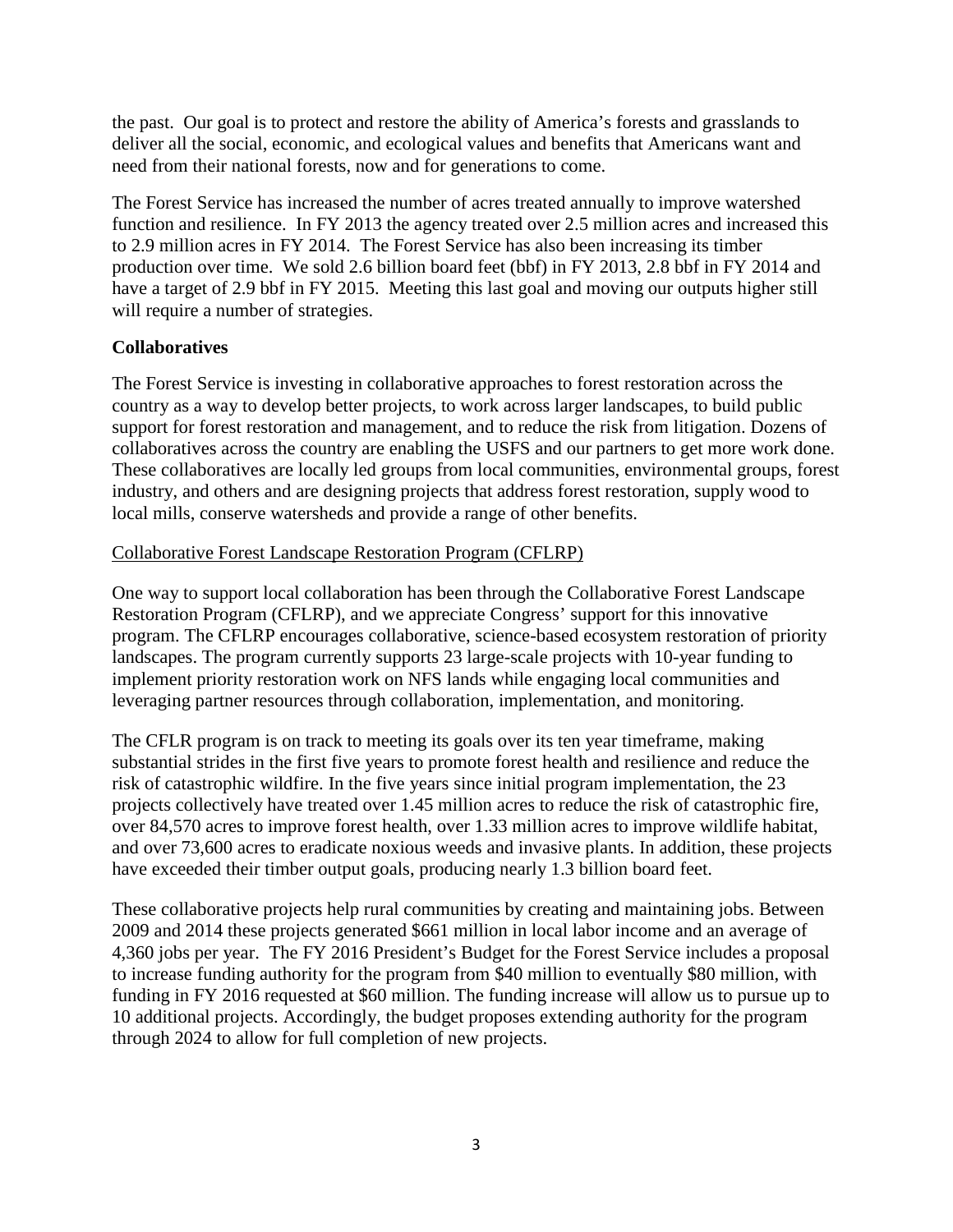the past. Our goal is to protect and restore the ability of America's forests and grasslands to deliver all the social, economic, and ecological values and benefits that Americans want and need from their national forests, now and for generations to come.

The Forest Service has increased the number of acres treated annually to improve watershed function and resilience. In FY 2013 the agency treated over 2.5 million acres and increased this to 2.9 million acres in FY 2014. The Forest Service has also been increasing its timber production over time. We sold 2.6 billion board feet (bbf) in FY 2013, 2.8 bbf in FY 2014 and have a target of 2.9 bbf in FY 2015. Meeting this last goal and moving our outputs higher still will require a number of strategies.

# **Collaboratives**

The Forest Service is investing in collaborative approaches to forest restoration across the country as a way to develop better projects, to work across larger landscapes, to build public support for forest restoration and management, and to reduce the risk from litigation. Dozens of collaboratives across the country are enabling the USFS and our partners to get more work done. These collaboratives are locally led groups from local communities, environmental groups, forest industry, and others and are designing projects that address forest restoration, supply wood to local mills, conserve watersheds and provide a range of other benefits.

## Collaborative Forest Landscape Restoration Program (CFLRP)

One way to support local collaboration has been through the Collaborative Forest Landscape Restoration Program (CFLRP), and we appreciate Congress' support for this innovative program. The CFLRP encourages collaborative, science-based ecosystem restoration of priority landscapes. The program currently supports 23 large-scale projects with 10-year funding to implement priority restoration work on NFS lands while engaging local communities and leveraging partner resources through collaboration, implementation, and monitoring.

The CFLR program is on track to meeting its goals over its ten year timeframe, making substantial strides in the first five years to promote forest health and resilience and reduce the risk of catastrophic wildfire. In the five years since initial program implementation, the 23 projects collectively have treated over 1.45 million acres to reduce the risk of catastrophic fire, over 84,570 acres to improve forest health, over 1.33 million acres to improve wildlife habitat, and over 73,600 acres to eradicate noxious weeds and invasive plants. In addition, these projects have exceeded their timber output goals, producing nearly 1.3 billion board feet.

These collaborative projects help rural communities by creating and maintaining jobs. Between 2009 and 2014 these projects generated \$661 million in local labor income and an average of 4,360 jobs per year. The FY 2016 President's Budget for the Forest Service includes a proposal to increase funding authority for the program from \$40 million to eventually \$80 million, with funding in FY 2016 requested at \$60 million. The funding increase will allow us to pursue up to 10 additional projects. Accordingly, the budget proposes extending authority for the program through 2024 to allow for full completion of new projects.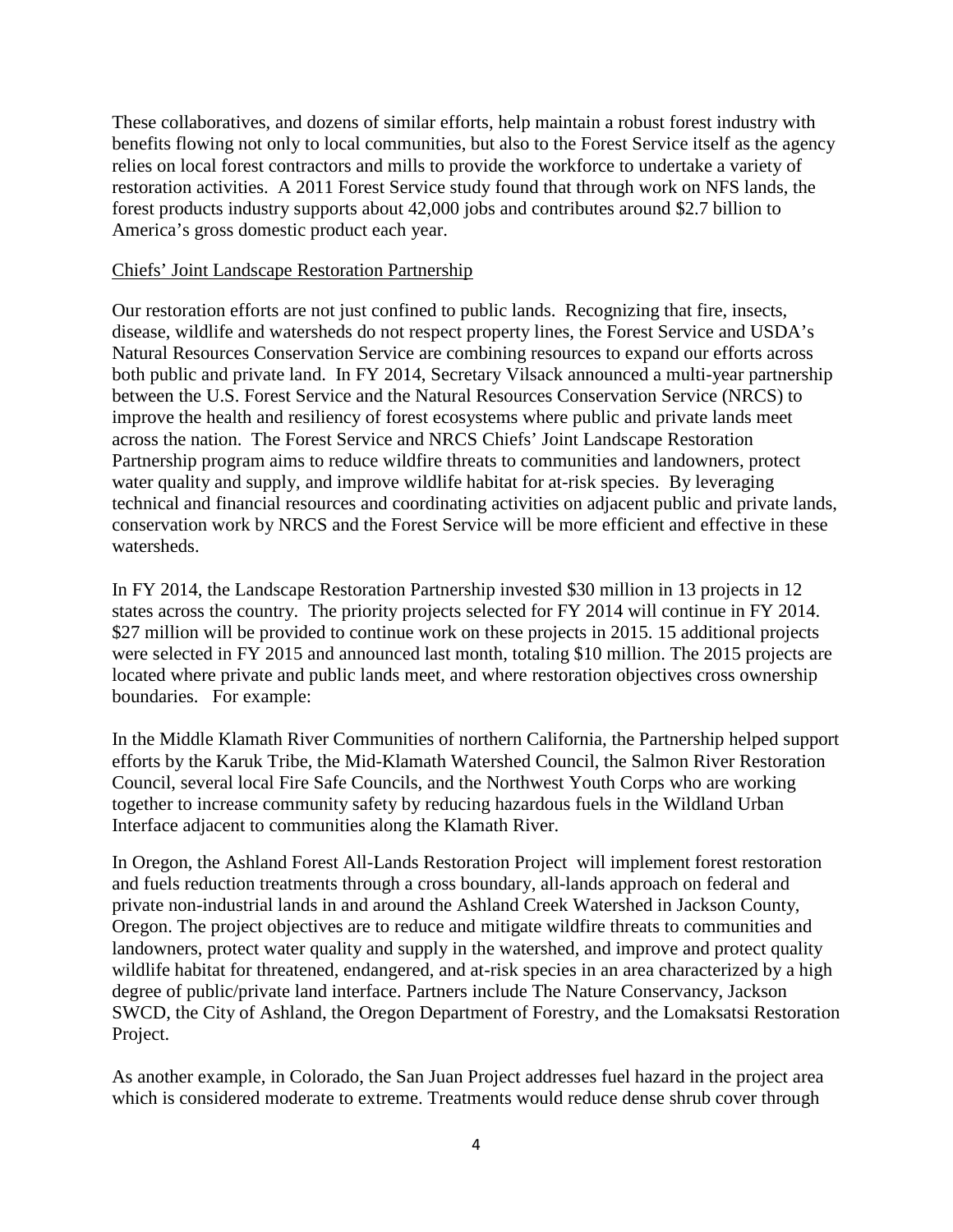These collaboratives, and dozens of similar efforts, help maintain a robust forest industry with benefits flowing not only to local communities, but also to the Forest Service itself as the agency relies on local forest contractors and mills to provide the workforce to undertake a variety of restoration activities. A 2011 Forest Service study found that through work on NFS lands, the forest products industry supports about 42,000 jobs and contributes around \$2.7 billion to America's gross domestic product each year.

#### Chiefs' Joint Landscape Restoration Partnership

Our restoration efforts are not just confined to public lands. Recognizing that fire, insects, disease, wildlife and watersheds do not respect property lines, the Forest Service and USDA's Natural Resources Conservation Service are combining resources to expand our efforts across both public and private land. In FY 2014, Secretary Vilsack announced a multi-year partnership between the U.S. Forest Service and the Natural Resources Conservation Service (NRCS) to improve the health and resiliency of forest ecosystems where public and private lands meet across the nation. The Forest Service and NRCS Chiefs' Joint Landscape Restoration Partnership program aims to reduce wildfire threats to communities and landowners, protect water quality and supply, and improve wildlife habitat for at-risk species. By leveraging technical and financial resources and coordinating activities on adjacent public and private lands, conservation work by NRCS and the Forest Service will be more efficient and effective in these watersheds.

In FY 2014, the Landscape Restoration Partnership invested \$30 million in 13 projects in 12 states across the country. The priority projects selected for FY 2014 will continue in FY 2014. \$27 million will be provided to continue work on these projects in 2015. 15 additional projects were selected in FY 2015 and announced last month, totaling \$10 million. The 2015 projects are located where private and public lands meet, and where restoration objectives cross ownership boundaries. For example:

In the Middle Klamath River Communities of northern California, the Partnership helped support efforts by the Karuk Tribe, the Mid-Klamath Watershed Council, the Salmon River Restoration Council, several local Fire Safe Councils, and the Northwest Youth Corps who are working together to increase community safety by reducing hazardous fuels in the Wildland Urban Interface adjacent to communities along the Klamath River.

In Oregon, the Ashland Forest All-Lands Restoration Project will implement forest restoration and fuels reduction treatments through a cross boundary, all-lands approach on federal and private non-industrial lands in and around the Ashland Creek Watershed in Jackson County, Oregon. The project objectives are to reduce and mitigate wildfire threats to communities and landowners, protect water quality and supply in the watershed, and improve and protect quality wildlife habitat for threatened, endangered, and at-risk species in an area characterized by a high degree of public/private land interface. Partners include The Nature Conservancy, Jackson SWCD, the City of Ashland, the Oregon Department of Forestry, and the Lomaksatsi Restoration Project.

As another example, in Colorado, the San Juan Project addresses fuel hazard in the project area which is considered moderate to extreme. Treatments would reduce dense shrub cover through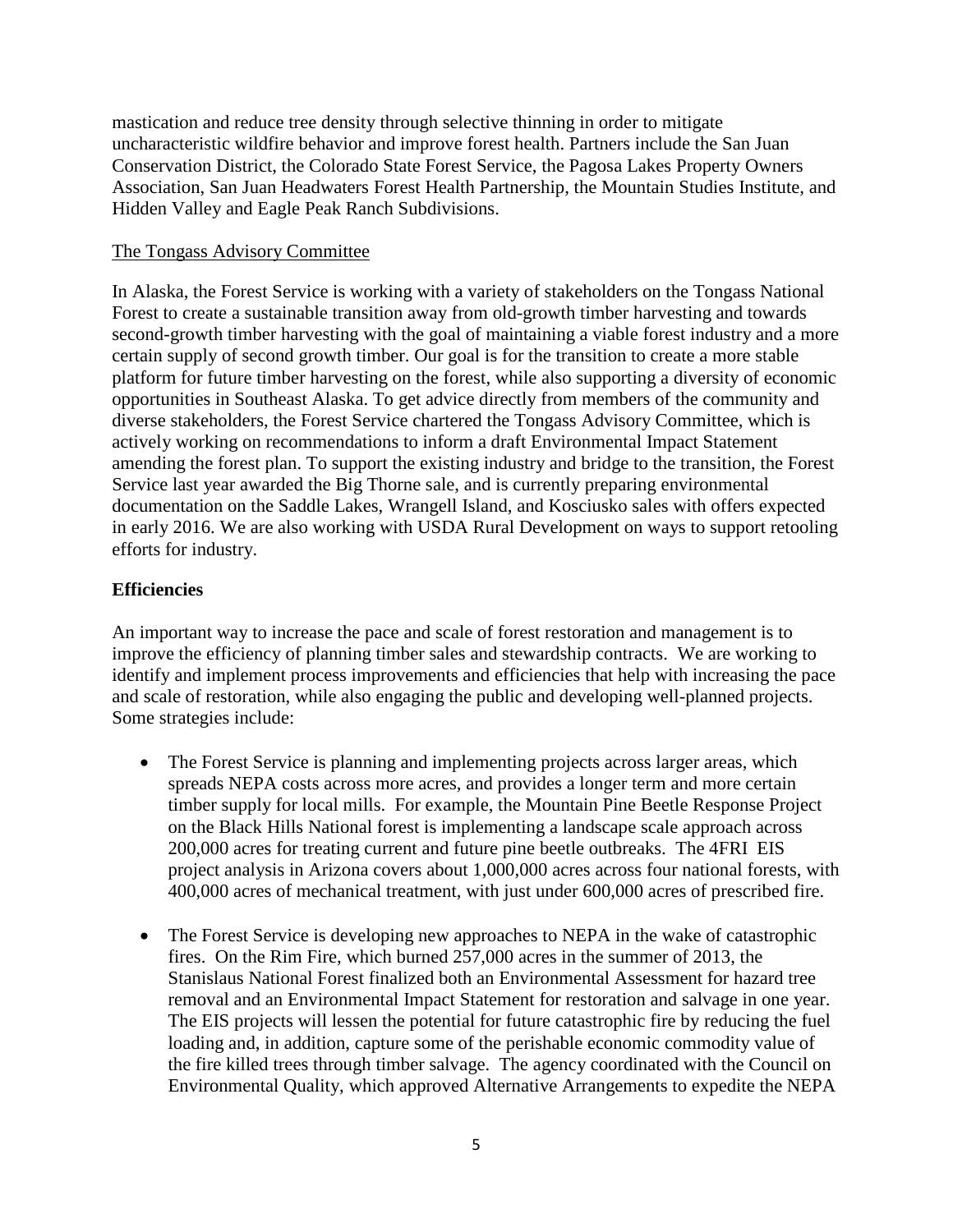mastication and reduce tree density through selective thinning in order to mitigate uncharacteristic wildfire behavior and improve forest health. Partners include the San Juan Conservation District, the Colorado State Forest Service, the Pagosa Lakes Property Owners Association, San Juan Headwaters Forest Health Partnership, the Mountain Studies Institute, and Hidden Valley and Eagle Peak Ranch Subdivisions.

### The Tongass Advisory Committee

In Alaska, the Forest Service is working with a variety of stakeholders on the Tongass National Forest to create a sustainable transition away from old-growth timber harvesting and towards second-growth timber harvesting with the goal of maintaining a viable forest industry and a more certain supply of second growth timber. Our goal is for the transition to create a more stable platform for future timber harvesting on the forest, while also supporting a diversity of economic opportunities in Southeast Alaska. To get advice directly from members of the community and diverse stakeholders, the Forest Service chartered the Tongass Advisory Committee, which is actively working on recommendations to inform a draft Environmental Impact Statement amending the forest plan. To support the existing industry and bridge to the transition, the Forest Service last year awarded the Big Thorne sale, and is currently preparing environmental documentation on the Saddle Lakes, Wrangell Island, and Kosciusko sales with offers expected in early 2016. We are also working with USDA Rural Development on ways to support retooling efforts for industry.

## **Efficiencies**

An important way to increase the pace and scale of forest restoration and management is to improve the efficiency of planning timber sales and stewardship contracts. We are working to identify and implement process improvements and efficiencies that help with increasing the pace and scale of restoration, while also engaging the public and developing well-planned projects. Some strategies include:

- The Forest Service is planning and implementing projects across larger areas, which spreads NEPA costs across more acres, and provides a longer term and more certain timber supply for local mills. For example, the Mountain Pine Beetle Response Project on the Black Hills National forest is implementing a landscape scale approach across 200,000 acres for treating current and future pine beetle outbreaks. The 4FRI EIS project analysis in Arizona covers about 1,000,000 acres across four national forests, with 400,000 acres of mechanical treatment, with just under 600,000 acres of prescribed fire.
- The Forest Service is developing new approaches to NEPA in the wake of catastrophic fires. On the Rim Fire, which burned 257,000 acres in the summer of 2013, the Stanislaus National Forest finalized both an Environmental Assessment for hazard tree removal and an Environmental Impact Statement for restoration and salvage in one year. The EIS projects will lessen the potential for future catastrophic fire by reducing the fuel loading and, in addition, capture some of the perishable economic commodity value of the fire killed trees through timber salvage. The agency coordinated with the Council on Environmental Quality, which approved Alternative Arrangements to expedite the NEPA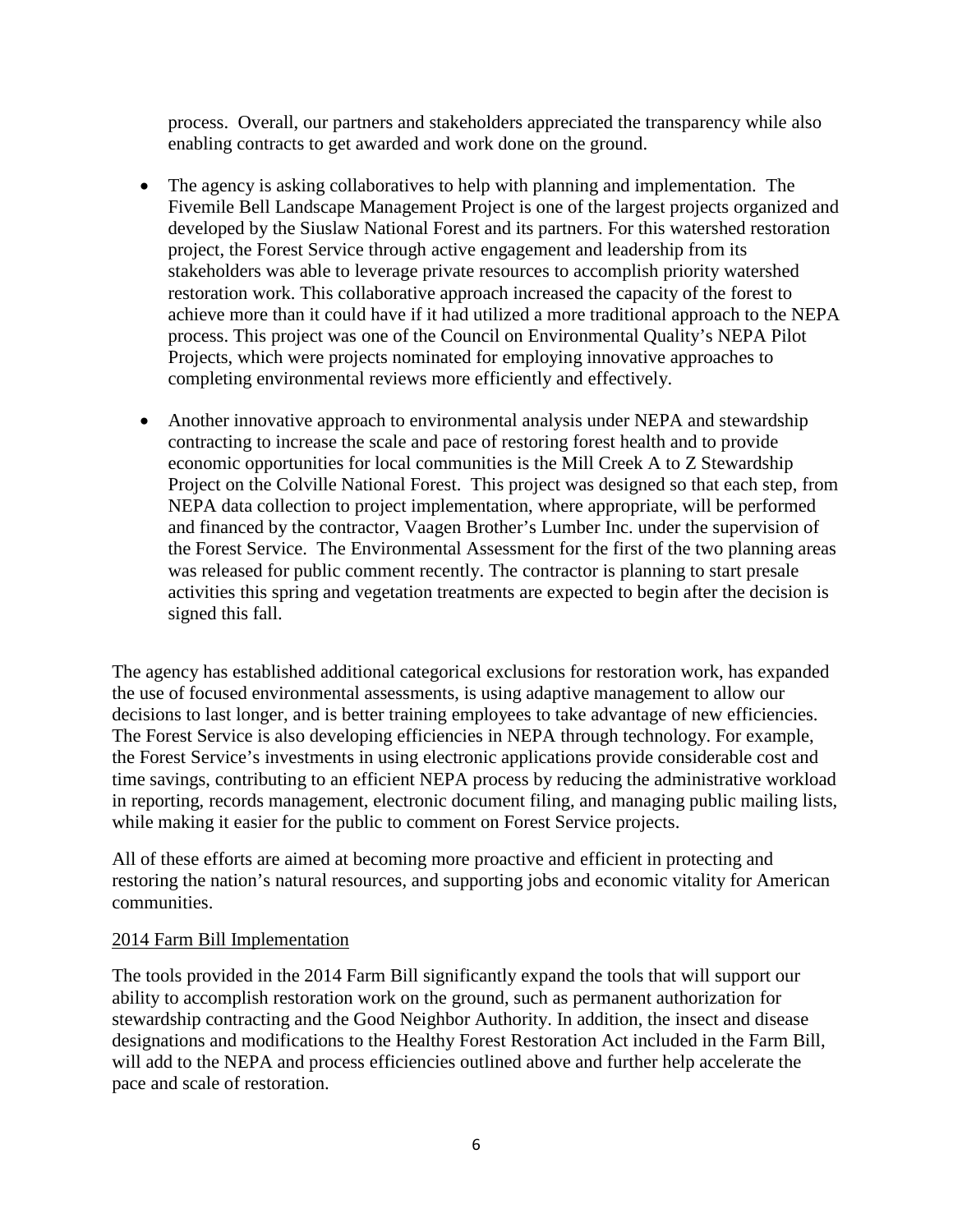process. Overall, our partners and stakeholders appreciated the transparency while also enabling contracts to get awarded and work done on the ground.

- The agency is asking collaboratives to help with planning and implementation. The Fivemile Bell Landscape Management Project is one of the largest projects organized and developed by the Siuslaw National Forest and its partners. For this watershed restoration project, the Forest Service through active engagement and leadership from its stakeholders was able to leverage private resources to accomplish priority watershed restoration work. This collaborative approach increased the capacity of the forest to achieve more than it could have if it had utilized a more traditional approach to the NEPA process. This project was one of the Council on Environmental Quality's NEPA Pilot Projects, which were projects nominated for employing innovative approaches to completing environmental reviews more efficiently and effectively.
- Another innovative approach to environmental analysis under NEPA and stewardship contracting to increase the scale and pace of restoring forest health and to provide economic opportunities for local communities is the Mill Creek A to Z Stewardship Project on the Colville National Forest. This project was designed so that each step, from NEPA data collection to project implementation, where appropriate, will be performed and financed by the contractor, Vaagen Brother's Lumber Inc. under the supervision of the Forest Service. The Environmental Assessment for the first of the two planning areas was released for public comment recently. The contractor is planning to start presale activities this spring and vegetation treatments are expected to begin after the decision is signed this fall.

The agency has established additional categorical exclusions for restoration work, has expanded the use of focused environmental assessments, is using adaptive management to allow our decisions to last longer, and is better training employees to take advantage of new efficiencies. The Forest Service is also developing efficiencies in NEPA through technology. For example, the Forest Service's investments in using electronic applications provide considerable cost and time savings, contributing to an efficient NEPA process by reducing the administrative workload in reporting, records management, electronic document filing, and managing public mailing lists, while making it easier for the public to comment on Forest Service projects.

All of these efforts are aimed at becoming more proactive and efficient in protecting and restoring the nation's natural resources, and supporting jobs and economic vitality for American communities.

### 2014 Farm Bill Implementation

The tools provided in the 2014 Farm Bill significantly expand the tools that will support our ability to accomplish restoration work on the ground, such as permanent authorization for stewardship contracting and the Good Neighbor Authority. In addition, the insect and disease designations and modifications to the Healthy Forest Restoration Act included in the Farm Bill, will add to the NEPA and process efficiencies outlined above and further help accelerate the pace and scale of restoration.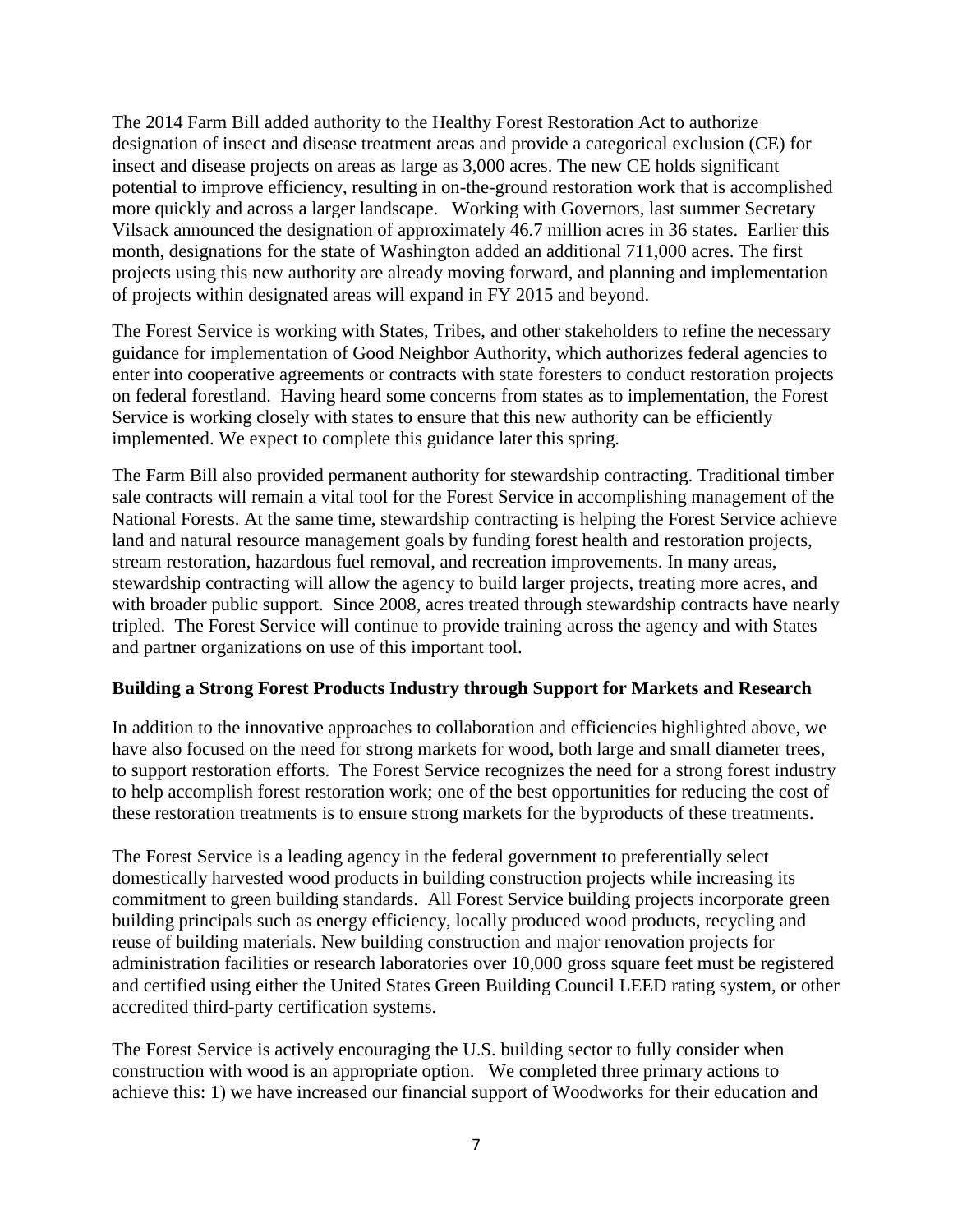The 2014 Farm Bill added authority to the Healthy Forest Restoration Act to authorize designation of insect and disease treatment areas and provide a categorical exclusion (CE) for insect and disease projects on areas as large as 3,000 acres. The new CE holds significant potential to improve efficiency, resulting in on-the-ground restoration work that is accomplished more quickly and across a larger landscape. Working with Governors, last summer Secretary Vilsack announced the designation of approximately 46.7 million acres in 36 states. Earlier this month, designations for the state of Washington added an additional 711,000 acres. The first projects using this new authority are already moving forward, and planning and implementation of projects within designated areas will expand in FY 2015 and beyond.

The Forest Service is working with States, Tribes, and other stakeholders to refine the necessary guidance for implementation of Good Neighbor Authority, which authorizes federal agencies to enter into cooperative agreements or contracts with state foresters to conduct restoration projects on federal forestland. Having heard some concerns from states as to implementation, the Forest Service is working closely with states to ensure that this new authority can be efficiently implemented. We expect to complete this guidance later this spring.

The Farm Bill also provided permanent authority for stewardship contracting. Traditional timber sale contracts will remain a vital tool for the Forest Service in accomplishing management of the National Forests. At the same time, stewardship contracting is helping the Forest Service achieve land and natural resource management goals by funding forest health and restoration projects, stream restoration, hazardous fuel removal, and recreation improvements. In many areas, stewardship contracting will allow the agency to build larger projects, treating more acres, and with broader public support. Since 2008, acres treated through stewardship contracts have nearly tripled. The Forest Service will continue to provide training across the agency and with States and partner organizations on use of this important tool.

### **Building a Strong Forest Products Industry through Support for Markets and Research**

In addition to the innovative approaches to collaboration and efficiencies highlighted above, we have also focused on the need for strong markets for wood, both large and small diameter trees, to support restoration efforts. The Forest Service recognizes the need for a strong forest industry to help accomplish forest restoration work; one of the best opportunities for reducing the cost of these restoration treatments is to ensure strong markets for the byproducts of these treatments.

The Forest Service is a leading agency in the federal government to preferentially select domestically harvested wood products in building construction projects while increasing its commitment to green building standards. All Forest Service building projects incorporate green building principals such as energy efficiency, locally produced wood products, recycling and reuse of building materials. New building construction and major renovation projects for administration facilities or research laboratories over 10,000 gross square feet must be registered and certified using either the United States Green Building Council LEED rating system, or other accredited third-party certification systems.

The Forest Service is actively encouraging the U.S. building sector to fully consider when construction with wood is an appropriate option. We completed three primary actions to achieve this: 1) we have increased our financial support of Woodworks for their education and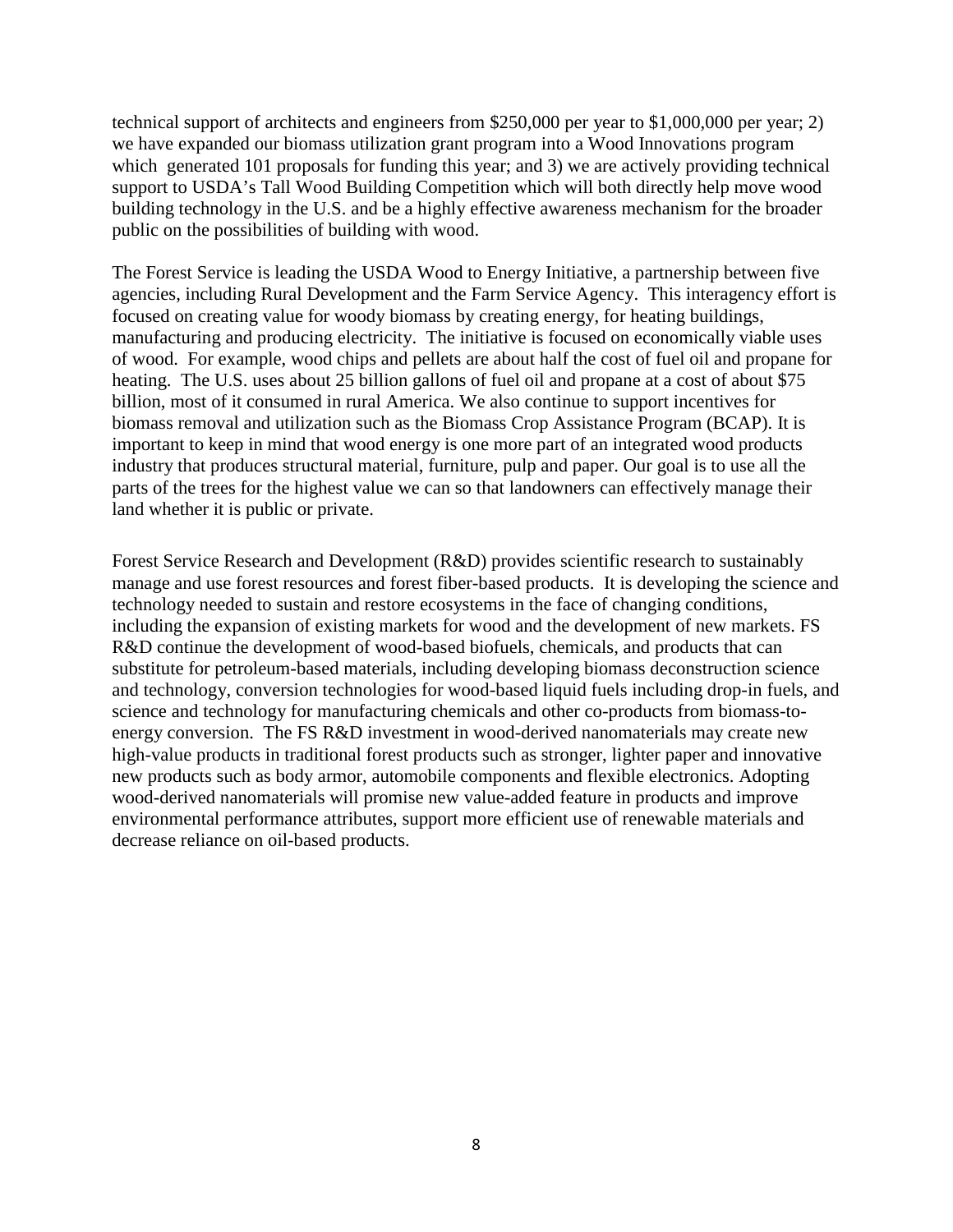technical support of architects and engineers from \$250,000 per year to \$1,000,000 per year; 2) we have expanded our biomass utilization grant program into a Wood Innovations program which generated 101 proposals for funding this year; and 3) we are actively providing technical support to USDA's Tall Wood Building Competition which will both directly help move wood building technology in the U.S. and be a highly effective awareness mechanism for the broader public on the possibilities of building with wood.

The Forest Service is leading the USDA Wood to Energy Initiative, a partnership between five agencies, including Rural Development and the Farm Service Agency. This interagency effort is focused on creating value for woody biomass by creating energy, for heating buildings, manufacturing and producing electricity. The initiative is focused on economically viable uses of wood. For example, wood chips and pellets are about half the cost of fuel oil and propane for heating. The U.S. uses about 25 billion gallons of fuel oil and propane at a cost of about \$75 billion, most of it consumed in rural America. We also continue to support incentives for biomass removal and utilization such as the Biomass Crop Assistance Program (BCAP). It is important to keep in mind that wood energy is one more part of an integrated wood products industry that produces structural material, furniture, pulp and paper. Our goal is to use all the parts of the trees for the highest value we can so that landowners can effectively manage their land whether it is public or private.

Forest Service Research and Development (R&D) provides scientific research to sustainably manage and use forest resources and forest fiber-based products. It is developing the science and technology needed to sustain and restore ecosystems in the face of changing conditions, including the expansion of existing markets for wood and the development of new markets. FS R&D continue the development of wood-based biofuels, chemicals, and products that can substitute for petroleum-based materials, including developing biomass deconstruction science and technology, conversion technologies for wood-based liquid fuels including drop-in fuels, and science and technology for manufacturing chemicals and other co-products from biomass-toenergy conversion. The FS R&D investment in wood-derived nanomaterials may create new high-value products in traditional forest products such as stronger, lighter paper and innovative new products such as body armor, automobile components and flexible electronics. Adopting wood-derived nanomaterials will promise new value-added feature in products and improve environmental performance attributes, support more efficient use of renewable materials and decrease reliance on oil-based products.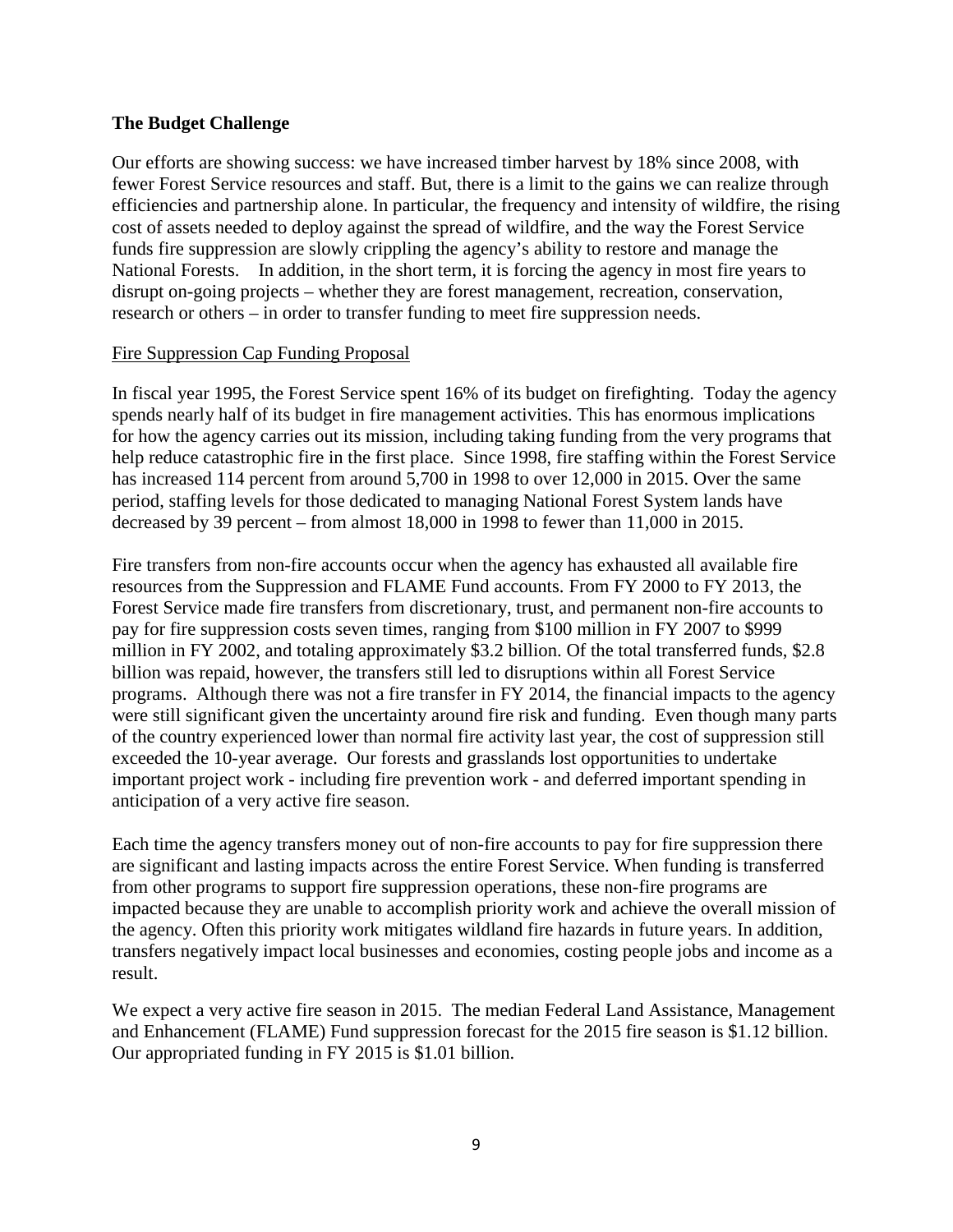### **The Budget Challenge**

Our efforts are showing success: we have increased timber harvest by 18% since 2008, with fewer Forest Service resources and staff. But, there is a limit to the gains we can realize through efficiencies and partnership alone. In particular, the frequency and intensity of wildfire, the rising cost of assets needed to deploy against the spread of wildfire, and the way the Forest Service funds fire suppression are slowly crippling the agency's ability to restore and manage the National Forests. In addition, in the short term, it is forcing the agency in most fire years to disrupt on-going projects – whether they are forest management, recreation, conservation, research or others – in order to transfer funding to meet fire suppression needs.

### Fire Suppression Cap Funding Proposal

In fiscal year 1995, the Forest Service spent 16% of its budget on firefighting. Today the agency spends nearly half of its budget in fire management activities. This has enormous implications for how the agency carries out its mission, including taking funding from the very programs that help reduce catastrophic fire in the first place. Since 1998, fire staffing within the Forest Service has increased 114 percent from around 5,700 in 1998 to over 12,000 in 2015. Over the same period, staffing levels for those dedicated to managing National Forest System lands have decreased by 39 percent – from almost 18,000 in 1998 to fewer than 11,000 in 2015.

Fire transfers from non-fire accounts occur when the agency has exhausted all available fire resources from the Suppression and FLAME Fund accounts. From FY 2000 to FY 2013, the Forest Service made fire transfers from discretionary, trust, and permanent non-fire accounts to pay for fire suppression costs seven times, ranging from \$100 million in FY 2007 to \$999 million in FY 2002, and totaling approximately \$3.2 billion. Of the total transferred funds, \$2.8 billion was repaid, however, the transfers still led to disruptions within all Forest Service programs. Although there was not a fire transfer in FY 2014, the financial impacts to the agency were still significant given the uncertainty around fire risk and funding. Even though many parts of the country experienced lower than normal fire activity last year, the cost of suppression still exceeded the 10-year average. Our forests and grasslands lost opportunities to undertake important project work - including fire prevention work - and deferred important spending in anticipation of a very active fire season.

Each time the agency transfers money out of non-fire accounts to pay for fire suppression there are significant and lasting impacts across the entire Forest Service. When funding is transferred from other programs to support fire suppression operations, these non-fire programs are impacted because they are unable to accomplish priority work and achieve the overall mission of the agency. Often this priority work mitigates wildland fire hazards in future years. In addition, transfers negatively impact local businesses and economies, costing people jobs and income as a result.

We expect a very active fire season in 2015. The median Federal Land Assistance, Management and Enhancement (FLAME) Fund suppression forecast for the 2015 fire season is \$1.12 billion. Our appropriated funding in FY 2015 is \$1.01 billion.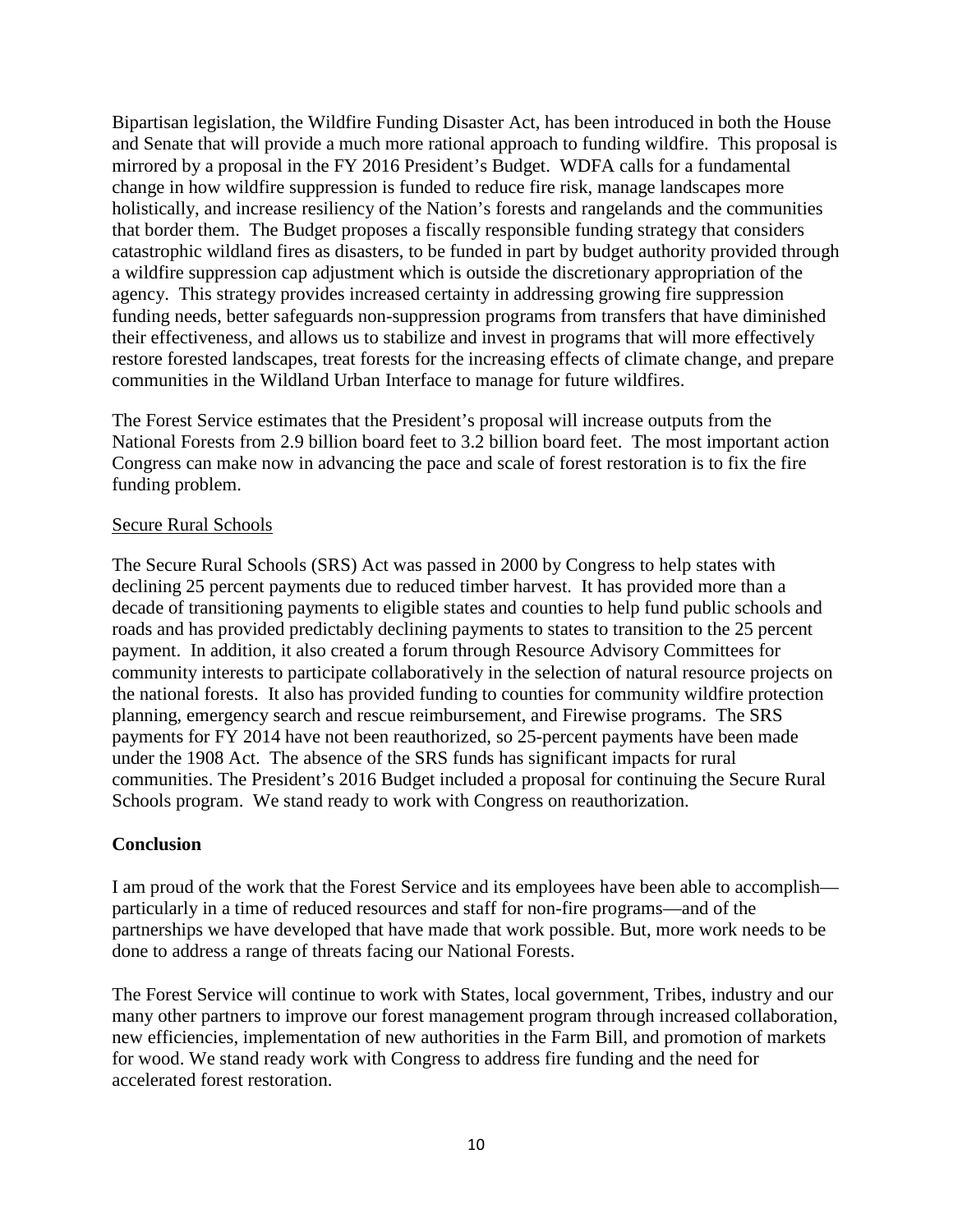Bipartisan legislation, the Wildfire Funding Disaster Act, has been introduced in both the House and Senate that will provide a much more rational approach to funding wildfire. This proposal is mirrored by a proposal in the FY 2016 President's Budget. WDFA calls for a fundamental change in how wildfire suppression is funded to reduce fire risk, manage landscapes more holistically, and increase resiliency of the Nation's forests and rangelands and the communities that border them. The Budget proposes a fiscally responsible funding strategy that considers catastrophic wildland fires as disasters, to be funded in part by budget authority provided through a wildfire suppression cap adjustment which is outside the discretionary appropriation of the agency. This strategy provides increased certainty in addressing growing fire suppression funding needs, better safeguards non-suppression programs from transfers that have diminished their effectiveness, and allows us to stabilize and invest in programs that will more effectively restore forested landscapes, treat forests for the increasing effects of climate change, and prepare communities in the Wildland Urban Interface to manage for future wildfires.

The Forest Service estimates that the President's proposal will increase outputs from the National Forests from 2.9 billion board feet to 3.2 billion board feet. The most important action Congress can make now in advancing the pace and scale of forest restoration is to fix the fire funding problem.

### Secure Rural Schools

The Secure Rural Schools (SRS) Act was passed in 2000 by Congress to help states with declining 25 percent payments due to reduced timber harvest. It has provided more than a decade of transitioning payments to eligible states and counties to help fund public schools and roads and has provided predictably declining payments to states to transition to the 25 percent payment. In addition, it also created a forum through Resource Advisory Committees for community interests to participate collaboratively in the selection of natural resource projects on the national forests. It also has provided funding to counties for community wildfire protection planning, emergency search and rescue reimbursement, and Firewise programs. The SRS payments for FY 2014 have not been reauthorized, so 25-percent payments have been made under the 1908 Act. The absence of the SRS funds has significant impacts for rural communities. The President's 2016 Budget included a proposal for continuing the Secure Rural Schools program. We stand ready to work with Congress on reauthorization.

### **Conclusion**

I am proud of the work that the Forest Service and its employees have been able to accomplish particularly in a time of reduced resources and staff for non-fire programs—and of the partnerships we have developed that have made that work possible. But, more work needs to be done to address a range of threats facing our National Forests.

The Forest Service will continue to work with States, local government, Tribes, industry and our many other partners to improve our forest management program through increased collaboration, new efficiencies, implementation of new authorities in the Farm Bill, and promotion of markets for wood. We stand ready work with Congress to address fire funding and the need for accelerated forest restoration.